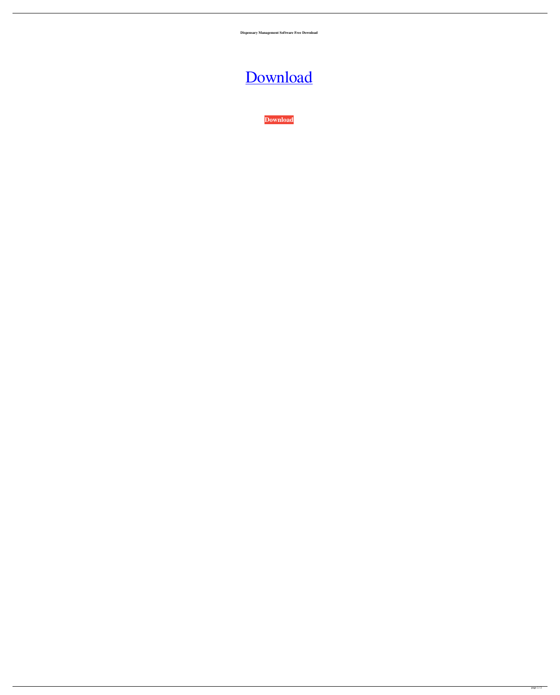**Dispensary Management Software Free Download**

[Download](http://evacdir.com/amosite/rett/rationalist?ZG93bmxvYWR8Vk04TVhOME5YeDhNVFkxTWpjME1EZzJObng4TWpVM05IeDhLRTBwSUhKbFlXUXRZbXh2WnlCYlJtRnpkQ0JIUlU1ZA.carbonic.cassaundra.ZGlzcGVuc2FyeSBtYW5hZ2VtZW50IHNvZnR3YXJlIGZyZWUgZG93bmxvYWQZGl)

**[Download](http://evacdir.com/amosite/rett/rationalist?ZG93bmxvYWR8Vk04TVhOME5YeDhNVFkxTWpjME1EZzJObng4TWpVM05IeDhLRTBwSUhKbFlXUXRZbXh2WnlCYlJtRnpkQ0JIUlU1ZA.carbonic.cassaundra.ZGlzcGVuc2FyeSBtYW5hZ2VtZW50IHNvZnR3YXJlIGZyZWUgZG93bmxvYWQZGl)**